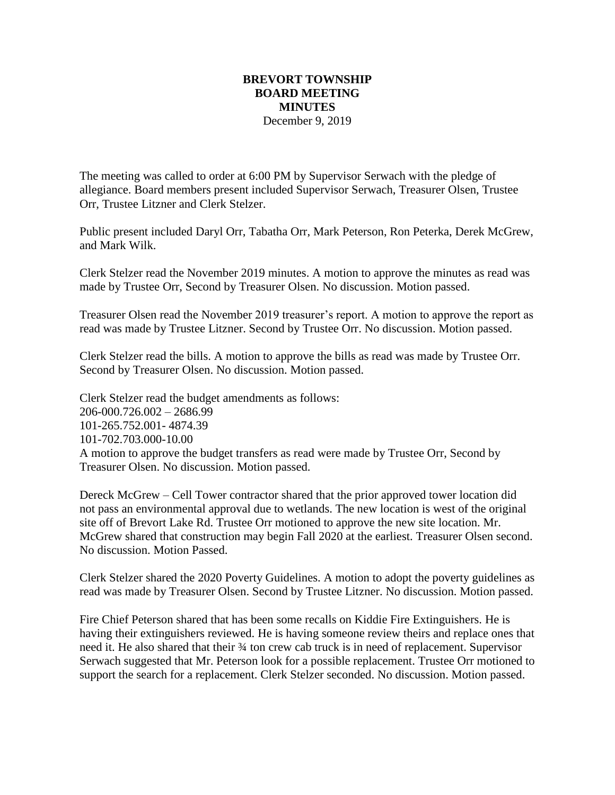## **BREVORT TOWNSHIP BOARD MEETING MINUTES** December 9, 2019

The meeting was called to order at 6:00 PM by Supervisor Serwach with the pledge of allegiance. Board members present included Supervisor Serwach, Treasurer Olsen, Trustee Orr, Trustee Litzner and Clerk Stelzer.

Public present included Daryl Orr, Tabatha Orr, Mark Peterson, Ron Peterka, Derek McGrew, and Mark Wilk.

Clerk Stelzer read the November 2019 minutes. A motion to approve the minutes as read was made by Trustee Orr, Second by Treasurer Olsen. No discussion. Motion passed.

Treasurer Olsen read the November 2019 treasurer's report. A motion to approve the report as read was made by Trustee Litzner. Second by Trustee Orr. No discussion. Motion passed.

Clerk Stelzer read the bills. A motion to approve the bills as read was made by Trustee Orr. Second by Treasurer Olsen. No discussion. Motion passed.

Clerk Stelzer read the budget amendments as follows: 206-000.726.002 – 2686.99 101-265.752.001- 4874.39 101-702.703.000-10.00 A motion to approve the budget transfers as read were made by Trustee Orr, Second by Treasurer Olsen. No discussion. Motion passed.

Dereck McGrew – Cell Tower contractor shared that the prior approved tower location did not pass an environmental approval due to wetlands. The new location is west of the original site off of Brevort Lake Rd. Trustee Orr motioned to approve the new site location. Mr. McGrew shared that construction may begin Fall 2020 at the earliest. Treasurer Olsen second. No discussion. Motion Passed.

Clerk Stelzer shared the 2020 Poverty Guidelines. A motion to adopt the poverty guidelines as read was made by Treasurer Olsen. Second by Trustee Litzner. No discussion. Motion passed.

Fire Chief Peterson shared that has been some recalls on Kiddie Fire Extinguishers. He is having their extinguishers reviewed. He is having someone review theirs and replace ones that need it. He also shared that their ¾ ton crew cab truck is in need of replacement. Supervisor Serwach suggested that Mr. Peterson look for a possible replacement. Trustee Orr motioned to support the search for a replacement. Clerk Stelzer seconded. No discussion. Motion passed.